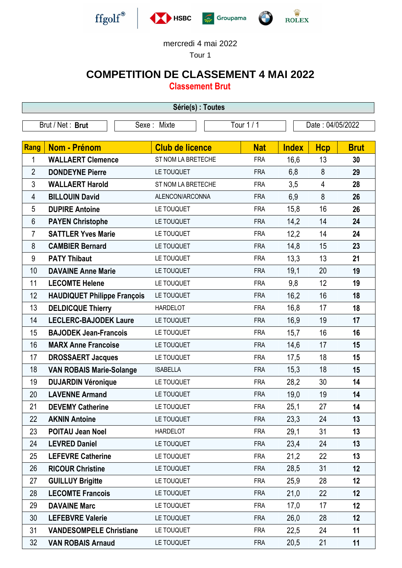

## mercredi 4 mai 2022

Tour 1

## **COMPETITION DE CLASSEMENT 4 MAI 2022**

**Classement Brut**

| Série(s) : Toutes |                                    |                            |            |                  |                |             |  |  |  |
|-------------------|------------------------------------|----------------------------|------------|------------------|----------------|-------------|--|--|--|
|                   | Brut / Net: Brut                   | Tour 1 / 1<br>Sexe : Mixte |            | Date: 04/05/2022 |                |             |  |  |  |
|                   |                                    |                            |            |                  |                |             |  |  |  |
| Rang              | <b>Nom - Prénom</b>                | <b>Club de licence</b>     | <b>Nat</b> | <b>Index</b>     | <b>Hcp</b>     | <b>Brut</b> |  |  |  |
| 1                 | <b>WALLAERT Clemence</b>           | ST NOM LA BRETECHE         | <b>FRA</b> | 16,6             | 13             | 30          |  |  |  |
| $\overline{2}$    | <b>DONDEYNE Pierre</b>             | LE TOUQUET                 | <b>FRA</b> | 6,8              | 8              | 29          |  |  |  |
| 3                 | <b>WALLAERT Harold</b>             | ST NOM LA BRETECHE         | <b>FRA</b> | 3,5              | $\overline{4}$ | 28          |  |  |  |
| 4                 | <b>BILLOUIN David</b>              | ALENCON/ARCONNA            | <b>FRA</b> | 6,9              | 8              | 26          |  |  |  |
| 5                 | <b>DUPIRE Antoine</b>              | LE TOUQUET                 | <b>FRA</b> | 15,8             | 16             | 26          |  |  |  |
| 6                 | <b>PAYEN Christophe</b>            | LE TOUQUET                 | <b>FRA</b> | 14,2             | 14             | 24          |  |  |  |
| 7                 | <b>SATTLER Yves Marie</b>          | LE TOUQUET                 | <b>FRA</b> | 12,2             | 14             | 24          |  |  |  |
| 8                 | <b>CAMBIER Bernard</b>             | LE TOUQUET                 | <b>FRA</b> | 14,8             | 15             | 23          |  |  |  |
| $9\,$             | <b>PATY Thibaut</b>                | LE TOUQUET                 | <b>FRA</b> | 13,3             | 13             | 21          |  |  |  |
| 10                | <b>DAVAINE Anne Marie</b>          | LE TOUQUET                 | <b>FRA</b> | 19,1             | 20             | 19          |  |  |  |
| 11                | <b>LECOMTE Helene</b>              | LE TOUQUET                 | <b>FRA</b> | 9,8              | 12             | 19          |  |  |  |
| 12                | <b>HAUDIQUET Philippe François</b> | LE TOUQUET                 | <b>FRA</b> | 16,2             | 16             | 18          |  |  |  |
| 13                | <b>DELDICQUE Thierry</b>           | <b>HARDELOT</b>            | <b>FRA</b> | 16,8             | 17             | 18          |  |  |  |
| 14                | <b>LECLERC-BAJODEK Laure</b>       | LE TOUQUET                 | <b>FRA</b> | 16,9             | 19             | 17          |  |  |  |
| 15                | <b>BAJODEK Jean-Francois</b>       | LE TOUQUET                 | <b>FRA</b> | 15,7             | 16             | 16          |  |  |  |
| 16                | <b>MARX Anne Francoise</b>         | LE TOUQUET                 | <b>FRA</b> | 14,6             | 17             | 15          |  |  |  |
| 17                | <b>DROSSAERT Jacques</b>           | LE TOUQUET                 | <b>FRA</b> | 17,5             | 18             | 15          |  |  |  |
| 18                | <b>VAN ROBAIS Marie-Solange</b>    | <b>ISABELLA</b>            | <b>FRA</b> | 15,3             | 18             | 15          |  |  |  |
| 19                | <b>DUJARDIN Véronique</b>          | LE TOUQUET                 | <b>FRA</b> | 28,2             | 30             | 14          |  |  |  |
| 20                | <b>LAVENNE Armand</b>              | LE TOUQUET                 | <b>FRA</b> | 19,0             | 19             | 14          |  |  |  |
| 21                | <b>DEVEMY Catherine</b>            | LE TOUQUET                 | FRA        | 25,1             | 27             | 14          |  |  |  |
| 22                | <b>AKNIN Antoine</b>               | LE TOUQUET                 | <b>FRA</b> | 23,3             | 24             | 13          |  |  |  |
| 23                | <b>POITAU Jean Noel</b>            | <b>HARDELOT</b>            | <b>FRA</b> | 29,1             | 31             | 13          |  |  |  |
| 24                | <b>LEVRED Daniel</b>               | LE TOUQUET                 | <b>FRA</b> | 23,4             | 24             | 13          |  |  |  |
| 25                | <b>LEFEVRE Catherine</b>           | LE TOUQUET                 | <b>FRA</b> | 21,2             | 22             | 13          |  |  |  |
| 26                | <b>RICOUR Christine</b>            | LE TOUQUET                 | <b>FRA</b> | 28,5             | 31             | 12          |  |  |  |
| 27                | <b>GUILLUY Brigitte</b>            | LE TOUQUET                 | <b>FRA</b> | 25,9             | 28             | 12          |  |  |  |
| 28                | <b>LECOMTE Francois</b>            | LE TOUQUET                 | <b>FRA</b> | 21,0             | 22             | 12          |  |  |  |
| 29                | <b>DAVAINE Marc</b>                | LE TOUQUET                 | <b>FRA</b> | 17,0             | 17             | 12          |  |  |  |
| 30                | <b>LEFEBVRE Valerie</b>            | LE TOUQUET                 | <b>FRA</b> | 26,0             | 28             | 12          |  |  |  |
| 31                | <b>VANDESOMPELE Christiane</b>     | LE TOUQUET                 | <b>FRA</b> | 22,5             | 24             | 11          |  |  |  |
| 32                | <b>VAN ROBAIS Arnaud</b>           | LE TOUQUET                 | <b>FRA</b> | 20,5             | 21             | 11          |  |  |  |